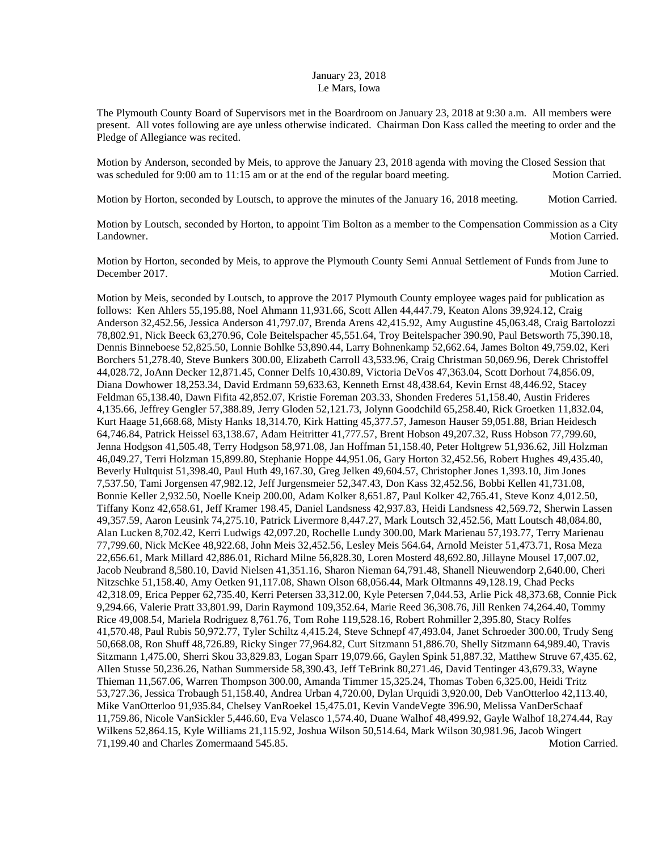## January 23, 2018 Le Mars, Iowa

The Plymouth County Board of Supervisors met in the Boardroom on January 23, 2018 at 9:30 a.m. All members were present. All votes following are aye unless otherwise indicated. Chairman Don Kass called the meeting to order and the Pledge of Allegiance was recited.

Motion by Anderson, seconded by Meis, to approve the January 23, 2018 agenda with moving the Closed Session that was scheduled for 9:00 am to 11:15 am or at the end of the regular board meeting. Motion Carried.

Motion by Horton, seconded by Loutsch, to approve the minutes of the January 16, 2018 meeting. Motion Carried.

Motion by Loutsch, seconded by Horton, to appoint Tim Bolton as a member to the Compensation Commission as a City Landowner. Motion Carried.

Motion by Horton, seconded by Meis, to approve the Plymouth County Semi Annual Settlement of Funds from June to December 2017. Motion Carried.

Motion by Meis, seconded by Loutsch, to approve the 2017 Plymouth County employee wages paid for publication as follows: Ken Ahlers 55,195.88, Noel Ahmann 11,931.66, Scott Allen 44,447.79, Keaton Alons 39,924.12, Craig Anderson 32,452.56, Jessica Anderson 41,797.07, Brenda Arens 42,415.92, Amy Augustine 45,063.48, Craig Bartolozzi 78,802.91, Nick Beeck 63,270.96, Cole Beitelspacher 45,551.64, Troy Beitelspacher 390.90, Paul Betsworth 75,390.18, Dennis Binneboese 52,825.50, Lonnie Bohlke 53,890.44, Larry Bohnenkamp 52,662.64, James Bolton 49,759.02, Keri Borchers 51,278.40, Steve Bunkers 300.00, Elizabeth Carroll 43,533.96, Craig Christman 50,069.96, Derek Christoffel 44,028.72, JoAnn Decker 12,871.45, Conner Delfs 10,430.89, Victoria DeVos 47,363.04, Scott Dorhout 74,856.09, Diana Dowhower 18,253.34, David Erdmann 59,633.63, Kenneth Ernst 48,438.64, Kevin Ernst 48,446.92, Stacey Feldman 65,138.40, Dawn Fifita 42,852.07, Kristie Foreman 203.33, Shonden Frederes 51,158.40, Austin Frideres 4,135.66, Jeffrey Gengler 57,388.89, Jerry Gloden 52,121.73, Jolynn Goodchild 65,258.40, Rick Groetken 11,832.04, Kurt Haage 51,668.68, Misty Hanks 18,314.70, Kirk Hatting 45,377.57, Jameson Hauser 59,051.88, Brian Heidesch 64,746.84, Patrick Heissel 63,138.67, Adam Heitritter 41,777.57, Brent Hobson 49,207.32, Russ Hobson 77,799.60, Jenna Hodgson 41,505.48, Terry Hodgson 58,971.08, Jan Hoffman 51,158.40, Peter Holtgrew 51,936.62, Jill Holzman 46,049.27, Terri Holzman 15,899.80, Stephanie Hoppe 44,951.06, Gary Horton 32,452.56, Robert Hughes 49,435.40, Beverly Hultquist 51,398.40, Paul Huth 49,167.30, Greg Jelken 49,604.57, Christopher Jones 1,393.10, Jim Jones 7,537.50, Tami Jorgensen 47,982.12, Jeff Jurgensmeier 52,347.43, Don Kass 32,452.56, Bobbi Kellen 41,731.08, Bonnie Keller 2,932.50, Noelle Kneip 200.00, Adam Kolker 8,651.87, Paul Kolker 42,765.41, Steve Konz 4,012.50, Tiffany Konz 42,658.61, Jeff Kramer 198.45, Daniel Landsness 42,937.83, Heidi Landsness 42,569.72, Sherwin Lassen 49,357.59, Aaron Leusink 74,275.10, Patrick Livermore 8,447.27, Mark Loutsch 32,452.56, Matt Loutsch 48,084.80, Alan Lucken 8,702.42, Kerri Ludwigs 42,097.20, Rochelle Lundy 300.00, Mark Marienau 57,193.77, Terry Marienau 77,799.60, Nick McKee 48,922.68, John Meis 32,452.56, Lesley Meis 564.64, Arnold Meister 51,473.71, Rosa Meza 22,656.61, Mark Millard 42,886.01, Richard Milne 56,828.30, Loren Mosterd 48,692.80, Jillayne Mousel 17,007.02, Jacob Neubrand 8,580.10, David Nielsen 41,351.16, Sharon Nieman 64,791.48, Shanell Nieuwendorp 2,640.00, Cheri Nitzschke 51,158.40, Amy Oetken 91,117.08, Shawn Olson 68,056.44, Mark Oltmanns 49,128.19, Chad Pecks 42,318.09, Erica Pepper 62,735.40, Kerri Petersen 33,312.00, Kyle Petersen 7,044.53, Arlie Pick 48,373.68, Connie Pick 9,294.66, Valerie Pratt 33,801.99, Darin Raymond 109,352.64, Marie Reed 36,308.76, Jill Renken 74,264.40, Tommy Rice 49,008.54, Mariela Rodriguez 8,761.76, Tom Rohe 119,528.16, Robert Rohmiller 2,395.80, Stacy Rolfes 41,570.48, Paul Rubis 50,972.77, Tyler Schiltz 4,415.24, Steve Schnepf 47,493.04, Janet Schroeder 300.00, Trudy Seng 50,668.08, Ron Shuff 48,726.89, Ricky Singer 77,964.82, Curt Sitzmann 51,886.70, Shelly Sitzmann 64,989.40, Travis Sitzmann 1,475.00, Sherri Skou 33,829.83, Logan Sparr 19,079.66, Gaylen Spink 51,887.32, Matthew Struve 67,435.62, Allen Stusse 50,236.26, Nathan Summerside 58,390.43, Jeff TeBrink 80,271.46, David Tentinger 43,679.33, Wayne Thieman 11,567.06, Warren Thompson 300.00, Amanda Timmer 15,325.24, Thomas Toben 6,325.00, Heidi Tritz 53,727.36, Jessica Trobaugh 51,158.40, Andrea Urban 4,720.00, Dylan Urquidi 3,920.00, Deb VanOtterloo 42,113.40, Mike VanOtterloo 91,935.84, Chelsey VanRoekel 15,475.01, Kevin VandeVegte 396.90, Melissa VanDerSchaaf 11,759.86, Nicole VanSickler 5,446.60, Eva Velasco 1,574.40, Duane Walhof 48,499.92, Gayle Walhof 18,274.44, Ray Wilkens 52,864.15, Kyle Williams 21,115.92, Joshua Wilson 50,514.64, Mark Wilson 30,981.96, Jacob Wingert 71,199.40 and Charles Zomermaand 545.85. Motion Carried.